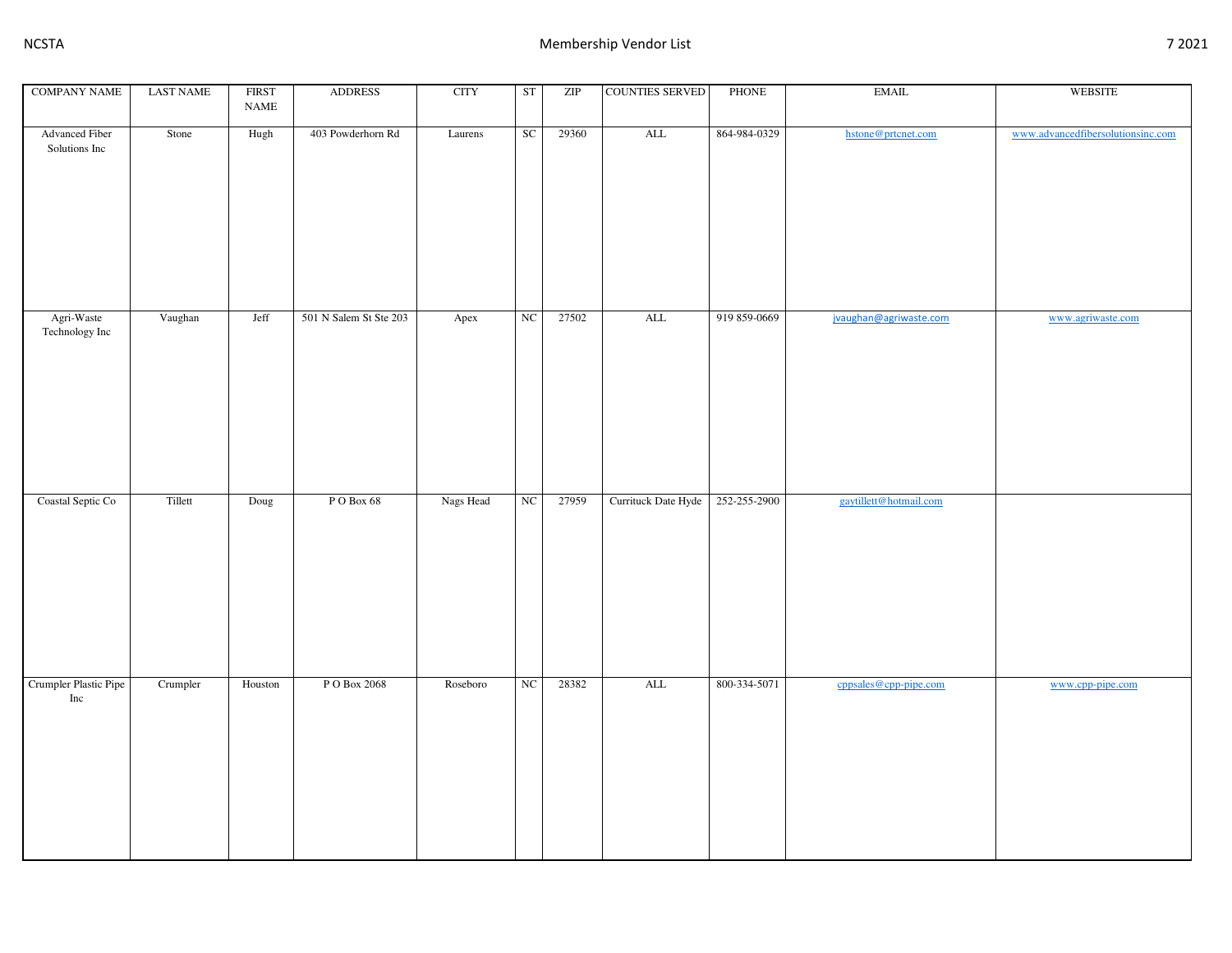| <b>COMPANY NAME</b>                    | <b>LAST NAME</b> | <b>FIRST</b>                 | <b>ADDRESS</b>         | <b>CITY</b> | ST | $\ensuremath{\mathrm{ZIP}}$ | <b>COUNTIES SERVED</b> | PHONE        | <b>EMAIL</b>           | WEBSITE                           |
|----------------------------------------|------------------|------------------------------|------------------------|-------------|----|-----------------------------|------------------------|--------------|------------------------|-----------------------------------|
|                                        |                  | $\ensuremath{\mathsf{NAME}}$ |                        |             |    |                             |                        |              |                        |                                   |
| <b>Advanced Fiber</b><br>Solutions Inc | Stone            | Hugh                         | 403 Powderhorn Rd      | Laurens     | SC | 29360                       | $\mbox{ALL}$           | 864-984-0329 | hstone@prtcnet.com     | www.advancedfibersolutionsinc.com |
| Agri-Waste<br>Technology Inc           | Vaughan          | Jeff                         | 501 N Salem St Ste 203 | Apex        | NC | 27502                       | ALL                    | 919 859-0669 | jvaughan@agriwaste.com | www.agriwaste.com                 |
| Coastal Septic Co                      | Tillett          | Doug                         | PO Box 68              | Nags Head   | NC | 27959                       | Currituck Date Hyde    | 252-255-2900 | gaytillett@hotmail.com |                                   |
| Crumpler Plastic Pipe<br>Inc           | Crumpler         | Houston                      | PO Box 2068            | Roseboro    | NC | 28382                       | $\mbox{ALL}$           | 800-334-5071 | cppsales@cpp-pipe.com  | www.cpp-pipe.com                  |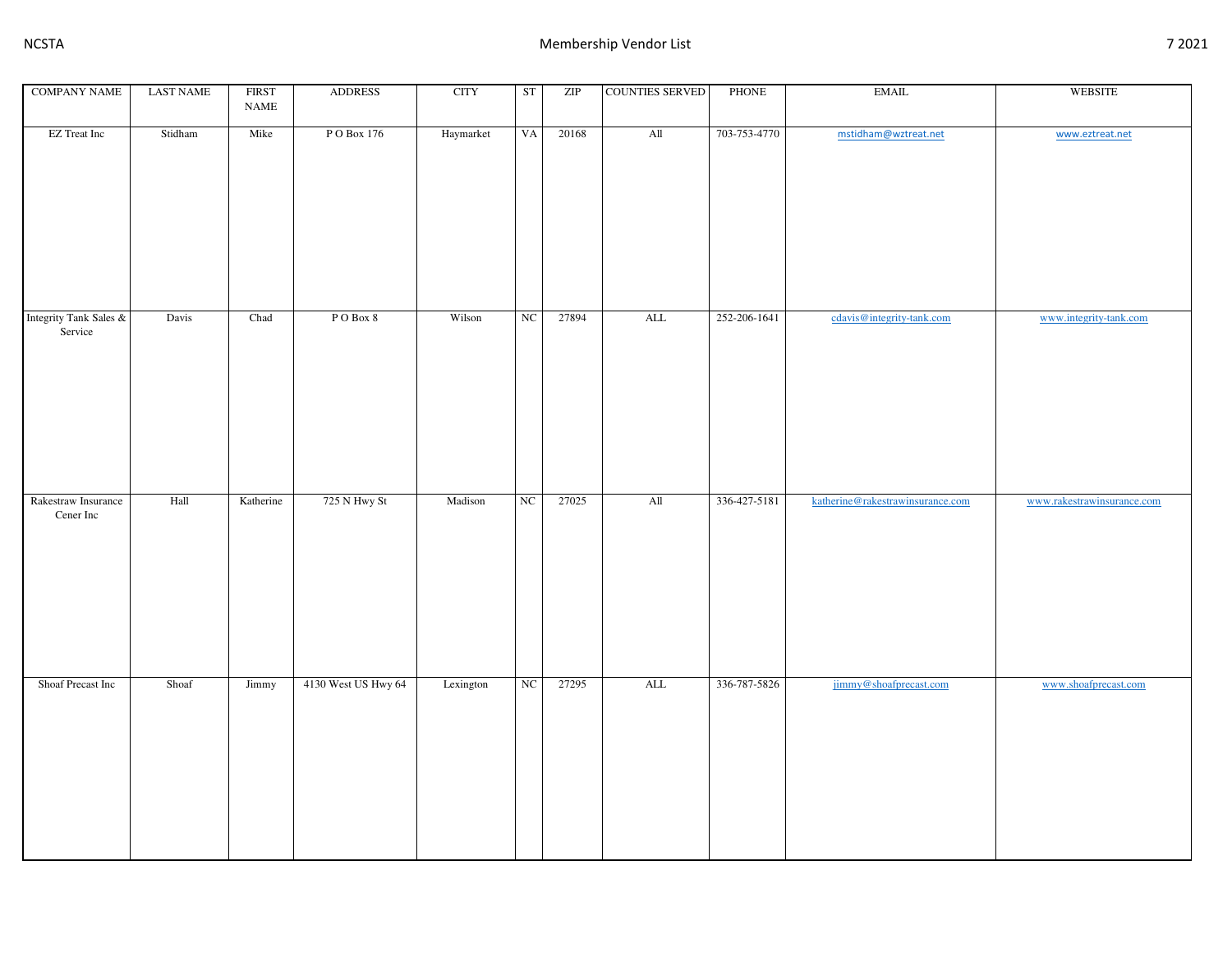| <b>COMPANY NAME</b>                  | <b>LAST NAME</b> | <b>FIRST</b><br>$\ensuremath{\mathsf{NAME}}$ | <b>ADDRESS</b>      | <b>CITY</b> | <b>ST</b>        | $\ensuremath{\mathrm{ZIP}}$ | <b>COUNTIES SERVED</b> | PHONE        | EMAIL                            | WEBSITE                    |
|--------------------------------------|------------------|----------------------------------------------|---------------------|-------------|------------------|-----------------------------|------------------------|--------------|----------------------------------|----------------------------|
| EZ Treat Inc                         | Stidham          | Mike                                         | P O Box 176         | Haymarket   | <b>VA</b>        | 20168                       | All                    | 703-753-4770 | mstidham@wztreat.net             | www.eztreat.net            |
| Integrity Tank Sales $\&$<br>Service | Davis            | Chad                                         | PO Box 8            | Wilson      | NC               | 27894                       | $\mbox{ALL}$           | 252-206-1641 | cdavis@integrity-tank.com        | www.integrity-tank.com     |
|                                      |                  |                                              |                     |             |                  |                             |                        |              |                                  |                            |
| Rakestraw Insurance<br>Cener Inc     | Hall             | Katherine                                    | 725 N Hwy St        | Madison     | $_{\rm NC}$      | 27025                       | All                    | 336-427-5181 | katherine@rakestrawinsurance.com | www.rakestrawinsurance.com |
| Shoaf Precast Inc                    | Shoaf            | Jimmy                                        | 4130 West US Hwy 64 | Lexington   | $_{\mathrm{NC}}$ | 27295                       | $\mbox{ALL}$           | 336-787-5826 | jimmy@shoafprecast.com           | www.shoafprecast.com       |